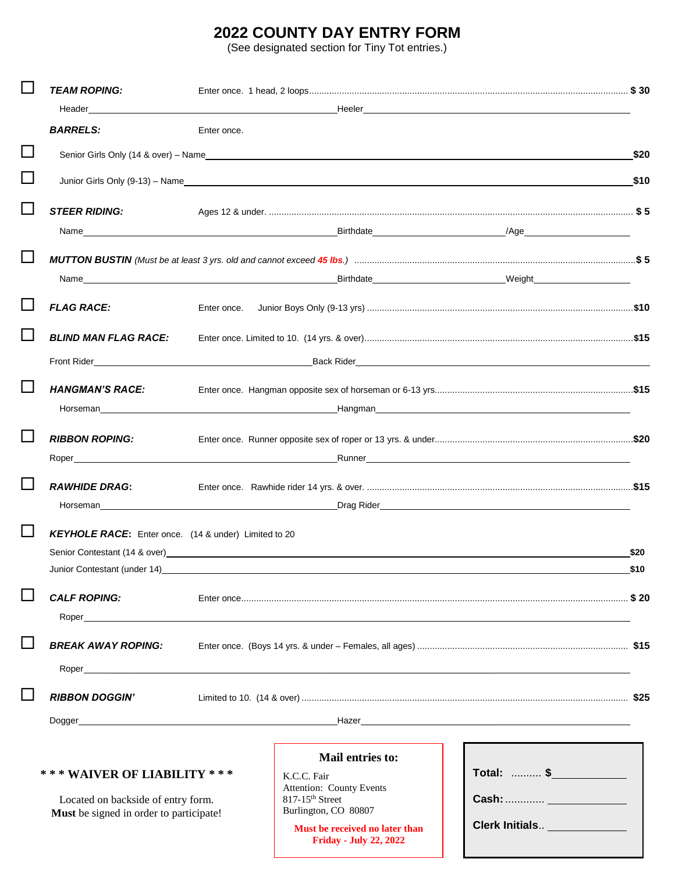# **2022 COUNTY DAY ENTRY FORM**

(See designated section for Tiny Tot entries.)

|                             | <b>TEAM ROPING:</b>                                                                                                                                                                                                                                  |             |                                                                                                                                                                                                                                     |                              |              |  |
|-----------------------------|------------------------------------------------------------------------------------------------------------------------------------------------------------------------------------------------------------------------------------------------------|-------------|-------------------------------------------------------------------------------------------------------------------------------------------------------------------------------------------------------------------------------------|------------------------------|--------------|--|
|                             |                                                                                                                                                                                                                                                      |             |                                                                                                                                                                                                                                     |                              |              |  |
|                             | <b>BARRELS:</b>                                                                                                                                                                                                                                      | Enter once. |                                                                                                                                                                                                                                     |                              |              |  |
| $\Box$                      |                                                                                                                                                                                                                                                      |             |                                                                                                                                                                                                                                     |                              | \$20         |  |
| $\Box$                      |                                                                                                                                                                                                                                                      |             |                                                                                                                                                                                                                                     |                              | \$10         |  |
| $\overline{\phantom{a}}$    | <b>STEER RIDING:</b>                                                                                                                                                                                                                                 |             |                                                                                                                                                                                                                                     |                              |              |  |
|                             |                                                                                                                                                                                                                                                      |             |                                                                                                                                                                                                                                     |                              |              |  |
|                             | MUTTON BUSTIN (Must be at least 3 yrs. old and cannot exceed 45 lbs.) manufactured and content and the state of 5                                                                                                                                    |             |                                                                                                                                                                                                                                     |                              |              |  |
|                             |                                                                                                                                                                                                                                                      |             |                                                                                                                                                                                                                                     |                              |              |  |
|                             | <b>FLAG RACE:</b>                                                                                                                                                                                                                                    | Enter once. |                                                                                                                                                                                                                                     |                              |              |  |
| $\mathcal{L}_{\mathcal{A}}$ | <b>BLIND MAN FLAG RACE:</b>                                                                                                                                                                                                                          |             |                                                                                                                                                                                                                                     |                              |              |  |
|                             | Front Rider <b>Executive Service Service Service Service Service Service Service Service Service Service Service Service Service Service Service Service Service Service Service Service Service Service Service Service Service</b>                 |             |                                                                                                                                                                                                                                     |                              |              |  |
| $\Box$                      | <b>HANGMAN'S RACE:</b>                                                                                                                                                                                                                               |             |                                                                                                                                                                                                                                     |                              |              |  |
|                             |                                                                                                                                                                                                                                                      |             | <b>Hangman Example 2021 Contract Contract Contract Contract Contract Contract Contract Contract Contract Contract Contract Contract Contract Contract Contract Contract Contract Contract Contract Contract Contract Contrac</b>    |                              |              |  |
|                             | <b>RIBBON ROPING:</b>                                                                                                                                                                                                                                |             |                                                                                                                                                                                                                                     |                              |              |  |
|                             |                                                                                                                                                                                                                                                      |             |                                                                                                                                                                                                                                     |                              |              |  |
| $\Box$                      | <b>RAWHIDE DRAG:</b>                                                                                                                                                                                                                                 |             |                                                                                                                                                                                                                                     |                              |              |  |
|                             |                                                                                                                                                                                                                                                      |             | Morseman <b>Example 2018</b> No. 2019 12:00:00 No. 2019 20:00:00 No. 2019 20:00:00 No. 2019 20:00:00 No. 2019 20:00:00 No. 2019 20:00:00 No. 2019 20:00:00 No. 20:00:00 No. 20:00:00 No. 20:00:00 No. 20:00:00:00:00:00:00:00:00:00 |                              |              |  |
|                             | KEYHOLE RACE: Enter once. (14 & under) Limited to 20                                                                                                                                                                                                 |             |                                                                                                                                                                                                                                     |                              |              |  |
|                             | Junior Contestant (under 14)                                                                                                                                                                                                                         |             | Senior Contestant (14 & over)<br>Senior Contestant (14 & over)                                                                                                                                                                      |                              | \$20<br>\$10 |  |
|                             |                                                                                                                                                                                                                                                      |             |                                                                                                                                                                                                                                     |                              |              |  |
|                             | <b>CALF ROPING:</b><br>Roper and the contract of the contract of the contract of the contract of the contract of the contract of the contract of the contract of the contract of the contract of the contract of the contract of the contract of the |             |                                                                                                                                                                                                                                     |                              |              |  |
|                             | <b>BREAK AWAY ROPING:</b>                                                                                                                                                                                                                            |             |                                                                                                                                                                                                                                     |                              |              |  |
|                             | Roper <u>the contract of the contract of the contract of the contract of the contract of the contract of</u>                                                                                                                                         |             |                                                                                                                                                                                                                                     |                              |              |  |
|                             |                                                                                                                                                                                                                                                      |             |                                                                                                                                                                                                                                     |                              |              |  |
|                             | <b>RIBBON DOGGIN'</b>                                                                                                                                                                                                                                |             |                                                                                                                                                                                                                                     |                              |              |  |
|                             | Dogger entertainment and the contract of the contract of the contract of the contract of the contract of the contract of the contract of the contract of the contract of the contract of the contract of the contract of the c                       |             |                                                                                                                                                                                                                                     |                              |              |  |
|                             |                                                                                                                                                                                                                                                      |             | Mail entries to:                                                                                                                                                                                                                    |                              |              |  |
|                             | *** WAIVER OF LIABILITY ***                                                                                                                                                                                                                          |             | K.C.C. Fair<br><b>Attention: County Events</b>                                                                                                                                                                                      | Total:  \$                   |              |  |
|                             | Located on backside of entry form.                                                                                                                                                                                                                   |             | $817-15$ <sup>th</sup> Street<br>Burlington, CO 80807                                                                                                                                                                               |                              |              |  |
|                             | Must be signed in order to participate!                                                                                                                                                                                                              |             | Must be received no later than<br><b>Friday - July 22, 2022</b>                                                                                                                                                                     | Clerk Initials _____________ |              |  |